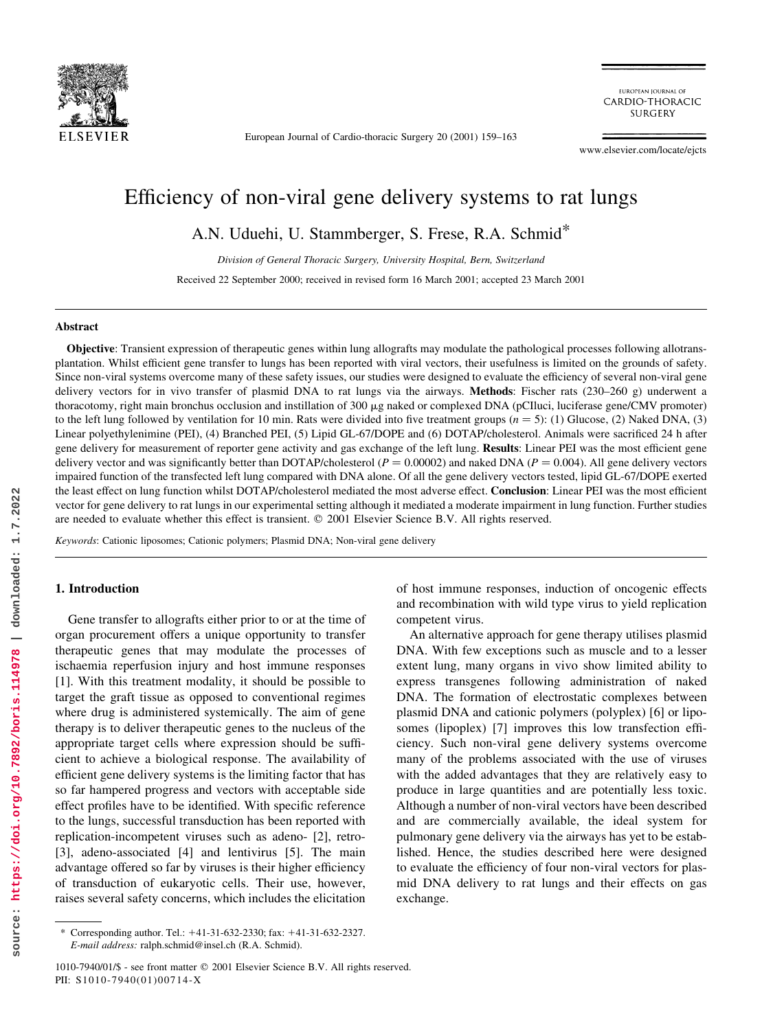

European Journal of Cardio-thoracic Surgery 20 (2001) 159-163

EUROPEAN IOURNAL OF CARDIO-THORACIC **SURGERY** 

www.elsevier.com/locate/ejcts

# Efficiency of non-viral gene delivery systems to rat lungs

A.N. Uduehi, U. Stammberger, S. Frese, R.A. Schmid\*

Division of General Thoracic Surgery, University Hospital, Bern, Switzerland Received 22 September 2000; received in revised form 16 March 2001; accepted 23 March 2001

## Abstract

Objective: Transient expression of therapeutic genes within lung allografts may modulate the pathological processes following allotransplantation. Whilst efficient gene transfer to lungs has been reported with viral vectors, their usefulness is limited on the grounds of safety. Since non-viral systems overcome many of these safety issues, our studies were designed to evaluate the efficiency of several non-viral gene delivery vectors for in vivo transfer of plasmid DNA to rat lungs via the airways. **Methods:** Fischer rats  $(230-260 \text{ g})$  underwent a thoracotomy, right main bronchus occlusion and instillation of 300 µg naked or complexed DNA (pCIluci, luciferase gene/CMV promoter) to the left lung followed by ventilation for 10 min. Rats were divided into five treatment groups ( $n = 5$ ): (1) Glucose, (2) Naked DNA, (3) Linear polyethylenimine (PEI), (4) Branched PEI, (5) Lipid GL-67/DOPE and (6) DOTAP/cholesterol. Animals were sacrificed 24 h after gene delivery for measurement of reporter gene activity and gas exchange of the left lung. Results: Linear PEI was the most efficient gene delivery vector and was significantly better than DOTAP/cholesterol ( $P = 0.00002$ ) and naked DNA ( $P = 0.004$ ). All gene delivery vectors impaired function of the transfected left lung compared with DNA alone. Of all the gene delivery vectors tested, lipid GL-67/DOPE exerted the least effect on lung function whilst DOTAP/cholesterol mediated the most adverse effect. Conclusion: Linear PEI was the most efficient vector for gene delivery to rat lungs in our experimental setting although it mediated a moderate impairment in lung function. Further studies are needed to evaluate whether this effect is transient.  $© 2001$  Elsevier Science B.V. All rights reserved.

Keywords: Cationic liposomes; Cationic polymers; Plasmid DNA; Non-viral gene delivery

## 1. Introduction

Gene transfer to allografts either prior to or at the time of organ procurement offers a unique opportunity to transfer therapeutic genes that may modulate the processes of ischaemia reperfusion injury and host immune responses [1]. With this treatment modality, it should be possible to target the graft tissue as opposed to conventional regimes where drug is administered systemically. The aim of gene therapy is to deliver therapeutic genes to the nucleus of the appropriate target cells where expression should be sufficient to achieve a biological response. The availability of efficient gene delivery systems is the limiting factor that has so far hampered progress and vectors with acceptable side effect profiles have to be identified. With specific reference to the lungs, successful transduction has been reported with replication-incompetent viruses such as adeno- [2], retro- [3], adeno-associated [4] and lentivirus [5]. The main advantage offered so far by viruses is their higher efficiency of transduction of eukaryotic cells. Their use, however, raises several safety concerns, which includes the elicitation

An alternative approach for gene therapy utilises plasmid DNA. With few exceptions such as muscle and to a lesser extent lung, many organs in vivo show limited ability to express transgenes following administration of naked DNA. The formation of electrostatic complexes between plasmid DNA and cationic polymers (polyplex) [6] or liposomes (lipoplex) [7] improves this low transfection efficiency. Such non-viral gene delivery systems overcome many of the problems associated with the use of viruses with the added advantages that they are relatively easy to produce in large quantities and are potentially less toxic. Although a number of non-viral vectors have been described and are commercially available, the ideal system for pulmonary gene delivery via the airways has yet to be established. Hence, the studies described here were designed to evaluate the efficiency of four non-viral vectors for plasmid DNA delivery to rat lungs and their effects on gas exchange.

of host immune responses, induction of oncogenic effects and recombination with wild type virus to yield replication competent virus.

Corresponding author. Tel.:  $+41-31-632-2330$ ; fax:  $+41-31-632-2327$ . E-mail address: ralph.schmid@insel.ch (R.A. Schmid).

<sup>1010-7940/01/\$ -</sup> see front matter q 2001 Elsevier Science B.V. All rights reserved. PII: S1010-7940(01)00714-X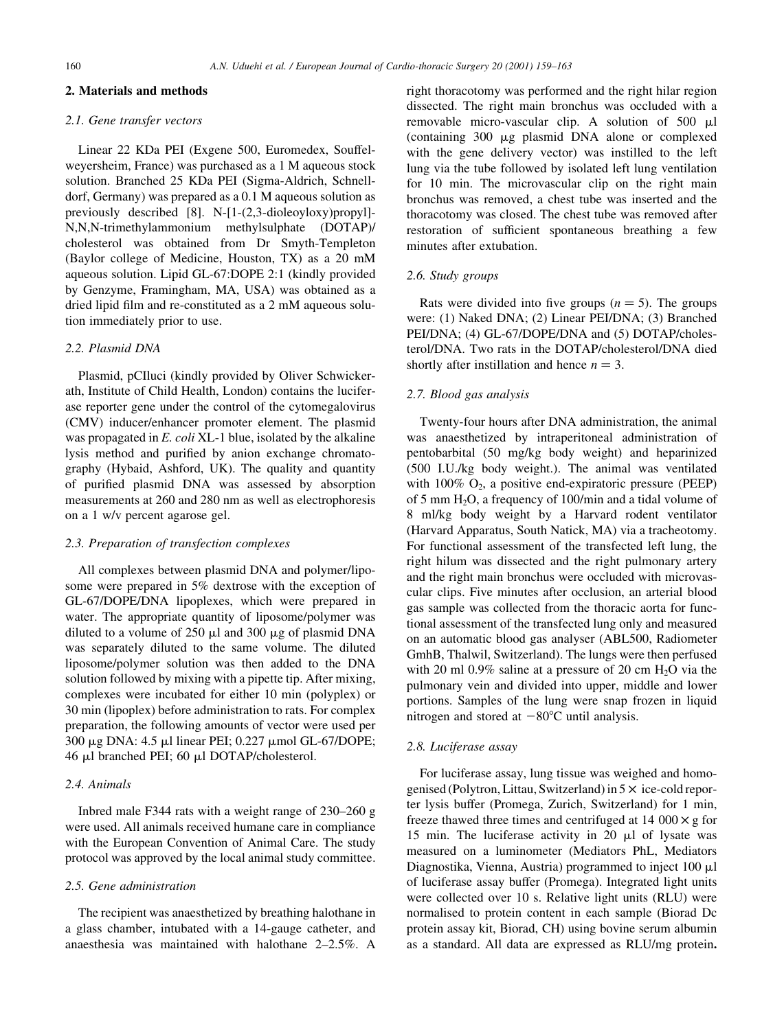#### 2. Materials and methods

## 2.1. Gene transfer vectors

Linear 22 KDa PEI (Exgene 500, Euromedex, Souffelweyersheim, France) was purchased as a 1 M aqueous stock solution. Branched 25 KDa PEI (Sigma-Aldrich, Schnelldorf, Germany) was prepared as a 0.1 M aqueous solution as previously described [8]. N-[1-(2,3-dioleoyloxy)propyl]- N,N,N-trimethylammonium methylsulphate (DOTAP)/ cholesterol was obtained from Dr Smyth-Templeton (Baylor college of Medicine, Houston, TX) as a 20 mM aqueous solution. Lipid GL-67:DOPE 2:1 (kindly provided by Genzyme, Framingham, MA, USA) was obtained as a dried lipid film and re-constituted as a 2 mM aqueous solution immediately prior to use.

#### 2.2. Plasmid DNA

Plasmid, pCIluci (kindly provided by Oliver Schwickerath, Institute of Child Health, London) contains the luciferase reporter gene under the control of the cytomegalovirus (CMV) inducer/enhancer promoter element. The plasmid was propagated in E. coli XL-1 blue, isolated by the alkaline lysis method and purified by anion exchange chromatography (Hybaid, Ashford, UK). The quality and quantity of purified plasmid DNA was assessed by absorption measurements at 260 and 280 nm as well as electrophoresis on a 1 w/v percent agarose gel.

#### 2.3. Preparation of transfection complexes

All complexes between plasmid DNA and polymer/liposome were prepared in 5% dextrose with the exception of GL-67/DOPE/DNA lipoplexes, which were prepared in water. The appropriate quantity of liposome/polymer was diluted to a volume of  $250 \mu l$  and  $300 \mu g$  of plasmid DNA was separately diluted to the same volume. The diluted liposome/polymer solution was then added to the DNA solution followed by mixing with a pipette tip. After mixing, complexes were incubated for either 10 min (polyplex) or 30 min (lipoplex) before administration to rats. For complex preparation, the following amounts of vector were used per 300 μg DNA: 4.5 μl linear PEI; 0.227 μmol GL-67/DOPE; 46 ml branched PEI; 60 ml DOTAP/cholesterol.

#### 2.4. Animals

Inbred male F344 rats with a weight range of  $230-260$  g were used. All animals received humane care in compliance with the European Convention of Animal Care. The study protocol was approved by the local animal study committee.

## 2.5. Gene administration

The recipient was anaesthetized by breathing halothane in a glass chamber, intubated with a 14-gauge catheter, and anaesthesia was maintained with halothane  $2-2.5\%$ . A right thoracotomy was performed and the right hilar region dissected. The right main bronchus was occluded with a removable micro-vascular clip. A solution of 500 ml (containing 300 mg plasmid DNA alone or complexed with the gene delivery vector) was instilled to the left lung via the tube followed by isolated left lung ventilation for 10 min. The microvascular clip on the right main bronchus was removed, a chest tube was inserted and the thoracotomy was closed. The chest tube was removed after restoration of sufficient spontaneous breathing a few minutes after extubation.

## 2.6. Study groups

Rats were divided into five groups ( $n = 5$ ). The groups were: (1) Naked DNA; (2) Linear PEI/DNA; (3) Branched PEI/DNA; (4) GL-67/DOPE/DNA and (5) DOTAP/cholesterol/DNA. Two rats in the DOTAP/cholesterol/DNA died shortly after instillation and hence  $n = 3$ .

#### 2.7. Blood gas analysis

Twenty-four hours after DNA administration, the animal was anaesthetized by intraperitoneal administration of pentobarbital (50 mg/kg body weight) and heparinized (500 I.U./kg body weight.). The animal was ventilated with  $100\%$  O<sub>2</sub>, a positive end-expiratoric pressure (PEEP) of 5 mm  $H_2O$ , a frequency of 100/min and a tidal volume of 8 ml/kg body weight by a Harvard rodent ventilator (Harvard Apparatus, South Natick, MA) via a tracheotomy. For functional assessment of the transfected left lung, the right hilum was dissected and the right pulmonary artery and the right main bronchus were occluded with microvascular clips. Five minutes after occlusion, an arterial blood gas sample was collected from the thoracic aorta for functional assessment of the transfected lung only and measured on an automatic blood gas analyser (ABL500, Radiometer GmhB, Thalwil, Switzerland). The lungs were then perfused with 20 ml  $0.9\%$  saline at a pressure of 20 cm H<sub>2</sub>O via the pulmonary vein and divided into upper, middle and lower portions. Samples of the lung were snap frozen in liquid nitrogen and stored at  $-80^{\circ}$ C until analysis.

#### 2.8. Luciferase assay

For luciferase assay, lung tissue was weighed and homogenised (Polytron, Littau, Switzerland) in  $5 \times$  ice-cold reporter lysis buffer (Promega, Zurich, Switzerland) for 1 min, freeze thawed three times and centrifuged at 14 000  $\times$  g for 15 min. The luciferase activity in 20  $\mu$ l of lysate was measured on a luminometer (Mediators PhL, Mediators Diagnostika, Vienna, Austria) programmed to inject  $100 \mu l$ of luciferase assay buffer (Promega). Integrated light units were collected over 10 s. Relative light units (RLU) were normalised to protein content in each sample (Biorad Dc protein assay kit, Biorad, CH) using bovine serum albumin as a standard. All data are expressed as RLU/mg protein.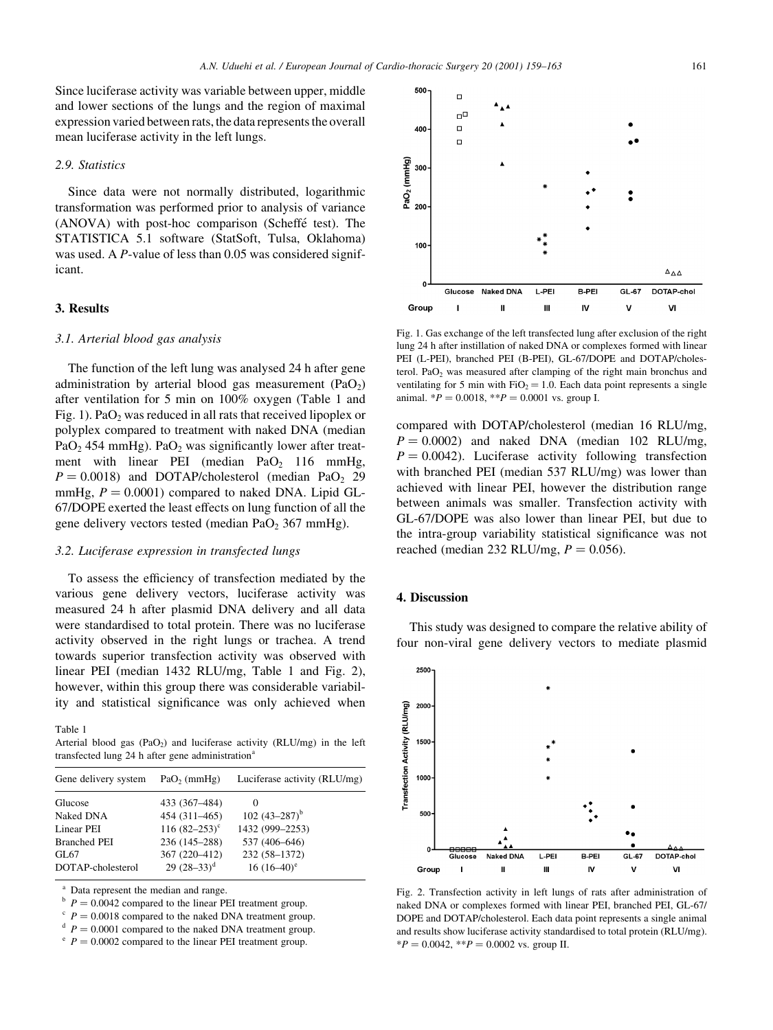Since luciferase activity was variable between upper, middle and lower sections of the lungs and the region of maximal expression varied between rats, the data represents the overall mean luciferase activity in the left lungs.

#### 2.9. Statistics

Since data were not normally distributed, logarithmic transformation was performed prior to analysis of variance  $(ANOVA)$  with post-hoc comparison  $(Scheffé test)$ . The STATISTICA 5.1 software (StatSoft, Tulsa, Oklahoma) was used. A *P*-value of less than 0.05 was considered significant.

## 3. Results

#### 3.1. Arterial blood gas analysis

The function of the left lung was analysed 24 h after gene administration by arterial blood gas measurement  $(PaO<sub>2</sub>)$ after ventilation for 5 min on 100% oxygen (Table 1 and Fig. 1). PaO<sub>2</sub> was reduced in all rats that received lipoplex or polyplex compared to treatment with naked DNA (median PaO<sub>2</sub> 454 mmHg). PaO<sub>2</sub> was significantly lower after treatment with linear PEI (median PaO<sub>2</sub> 116 mmHg,  $P = 0.0018$ ) and DOTAP/cholesterol (median PaO<sub>2</sub> 29 mmHg,  $P = 0.0001$ ) compared to naked DNA. Lipid GL-67/DOPE exerted the least effects on lung function of all the gene delivery vectors tested (median  $PaO<sub>2</sub>$  367 mmHg).

#### 3.2. Luciferase expression in transfected lungs

To assess the efficiency of transfection mediated by the various gene delivery vectors, luciferase activity was measured 24 h after plasmid DNA delivery and all data were standardised to total protein. There was no luciferase activity observed in the right lungs or trachea. A trend towards superior transfection activity was observed with linear PEI (median 1432 RLU/mg, Table 1 and Fig. 2), however, within this group there was considerable variability and statistical significance was only achieved when

Table 1

Arterial blood gas  $(PaO<sub>2</sub>)$  and luciferase activity  $(RLU/mg)$  in the left transfected lung  $24$  h after gene administration<sup>a</sup>

| Gene delivery system | $PaO2$ (mmHg)    | Luciferase activity (RLU/mg) |
|----------------------|------------------|------------------------------|
| Glucose              | 433 (367-484)    | $\theta$                     |
| Naked DNA            | 454 (311-465)    | 102 $(43-287)^{b}$           |
| Linear PEI           | 116 $(82-253)^c$ | 1432 (999-2253)              |
| <b>Branched PEI</b>  | 236 (145-288)    | 537 (406-646)                |
| GL 67                | 367 (220-412)    | 232 (58-1372)                |
| DOTAP-cholesterol    | 29 $(28-33)^d$   | $16(16-40)^e$                |
|                      |                  |                              |

Data represent the median and range.

<sup>b</sup>  $P = 0.0042$  compared to the linear PEI treatment group.<br><sup>c</sup>  $P = 0.0018$  compared to the naked DNA treatment group.<br><sup>d</sup>  $P = 0.0002$  compared to the linear PEI treatment group.



Fig. 1. Gas exchange of the left transfected lung after exclusion of the right lung 24 h after instillation of naked DNA or complexes formed with linear PEI (L-PEI), branched PEI (B-PEI), GL-67/DOPE and DOTAP/cholesterol.  $PaO<sub>2</sub>$  was measured after clamping of the right main bronchus and ventilating for 5 min with  $FiO_2 = 1.0$ . Each data point represents a single animal.  $*P = 0.0018$ ,  $**P = 0.0001$  vs. group I.

compared with DOTAP/cholesterol (median 16 RLU/mg,  $P = 0.0002$ ) and naked DNA (median 102 RLU/mg,  $P = 0.0042$ . Luciferase activity following transfection with branched PEI (median 537 RLU/mg) was lower than achieved with linear PEI, however the distribution range between animals was smaller. Transfection activity with GL-67/DOPE was also lower than linear PEI, but due to the intra-group variability statistical significance was not reached (median 232 RLU/mg,  $P = 0.056$ ).

## 4. Discussion

This study was designed to compare the relative ability of four non-viral gene delivery vectors to mediate plasmid



Fig. 2. Transfection activity in left lungs of rats after administration of naked DNA or complexes formed with linear PEI, branched PEI, GL-67/ DOPE and DOTAP/cholesterol. Each data point represents a single animal and results show luciferase activity standardised to total protein (RLU/mg).  $*P = 0.0042$ ,  $*P = 0.0002$  vs. group II.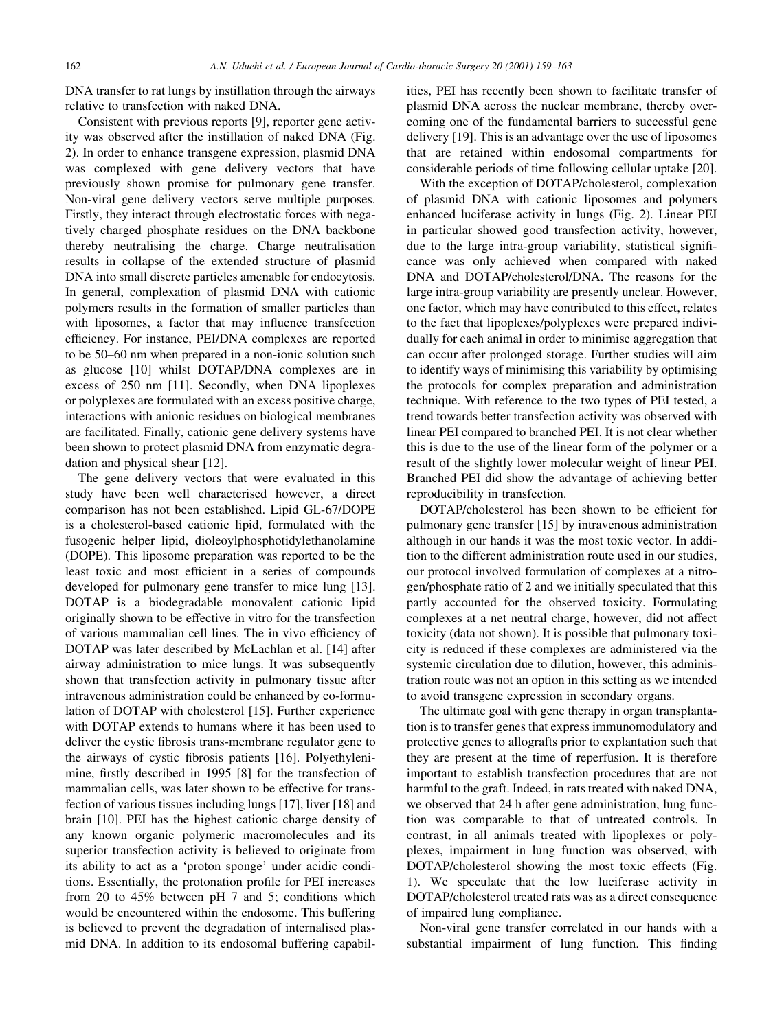DNA transfer to rat lungs by instillation through the airways relative to transfection with naked DNA.

Consistent with previous reports [9], reporter gene activity was observed after the instillation of naked DNA (Fig. 2). In order to enhance transgene expression, plasmid DNA was complexed with gene delivery vectors that have previously shown promise for pulmonary gene transfer. Non-viral gene delivery vectors serve multiple purposes. Firstly, they interact through electrostatic forces with negatively charged phosphate residues on the DNA backbone thereby neutralising the charge. Charge neutralisation results in collapse of the extended structure of plasmid DNA into small discrete particles amenable for endocytosis. In general, complexation of plasmid DNA with cationic polymers results in the formation of smaller particles than with liposomes, a factor that may influence transfection efficiency. For instance, PEI/DNA complexes are reported to be 50–60 nm when prepared in a non-ionic solution such as glucose [10] whilst DOTAP/DNA complexes are in excess of 250 nm [11]. Secondly, when DNA lipoplexes or polyplexes are formulated with an excess positive charge, interactions with anionic residues on biological membranes are facilitated. Finally, cationic gene delivery systems have been shown to protect plasmid DNA from enzymatic degradation and physical shear [12].

The gene delivery vectors that were evaluated in this study have been well characterised however, a direct comparison has not been established. Lipid GL-67/DOPE is a cholesterol-based cationic lipid, formulated with the fusogenic helper lipid, dioleoylphosphotidylethanolamine (DOPE). This liposome preparation was reported to be the least toxic and most efficient in a series of compounds developed for pulmonary gene transfer to mice lung [13]. DOTAP is a biodegradable monovalent cationic lipid originally shown to be effective in vitro for the transfection of various mammalian cell lines. The in vivo efficiency of DOTAP was later described by McLachlan et al. [14] after airway administration to mice lungs. It was subsequently shown that transfection activity in pulmonary tissue after intravenous administration could be enhanced by co-formulation of DOTAP with cholesterol [15]. Further experience with DOTAP extends to humans where it has been used to deliver the cystic fibrosis trans-membrane regulator gene to the airways of cystic fibrosis patients [16]. Polyethylenimine, firstly described in 1995 [8] for the transfection of mammalian cells, was later shown to be effective for transfection of various tissues including lungs [17], liver [18] and brain [10]. PEI has the highest cationic charge density of any known organic polymeric macromolecules and its superior transfection activity is believed to originate from its ability to act as a 'proton sponge' under acidic conditions. Essentially, the protonation profile for PEI increases from 20 to 45% between pH 7 and 5; conditions which would be encountered within the endosome. This buffering is believed to prevent the degradation of internalised plasmid DNA. In addition to its endosomal buffering capabil-

ities, PEI has recently been shown to facilitate transfer of plasmid DNA across the nuclear membrane, thereby overcoming one of the fundamental barriers to successful gene delivery [19]. This is an advantage over the use of liposomes that are retained within endosomal compartments for considerable periods of time following cellular uptake [20].

With the exception of DOTAP/cholesterol, complexation of plasmid DNA with cationic liposomes and polymers enhanced luciferase activity in lungs (Fig. 2). Linear PEI in particular showed good transfection activity, however, due to the large intra-group variability, statistical significance was only achieved when compared with naked DNA and DOTAP/cholesterol/DNA. The reasons for the large intra-group variability are presently unclear. However, one factor, which may have contributed to this effect, relates to the fact that lipoplexes/polyplexes were prepared individually for each animal in order to minimise aggregation that can occur after prolonged storage. Further studies will aim to identify ways of minimising this variability by optimising the protocols for complex preparation and administration technique. With reference to the two types of PEI tested, a trend towards better transfection activity was observed with linear PEI compared to branched PEI. It is not clear whether this is due to the use of the linear form of the polymer or a result of the slightly lower molecular weight of linear PEI. Branched PEI did show the advantage of achieving better reproducibility in transfection.

DOTAP/cholesterol has been shown to be efficient for pulmonary gene transfer [15] by intravenous administration although in our hands it was the most toxic vector. In addition to the different administration route used in our studies, our protocol involved formulation of complexes at a nitrogen/phosphate ratio of 2 and we initially speculated that this partly accounted for the observed toxicity. Formulating complexes at a net neutral charge, however, did not affect toxicity (data not shown). It is possible that pulmonary toxicity is reduced if these complexes are administered via the systemic circulation due to dilution, however, this administration route was not an option in this setting as we intended to avoid transgene expression in secondary organs.

The ultimate goal with gene therapy in organ transplantation is to transfer genes that express immunomodulatory and protective genes to allografts prior to explantation such that they are present at the time of reperfusion. It is therefore important to establish transfection procedures that are not harmful to the graft. Indeed, in rats treated with naked DNA, we observed that 24 h after gene administration, lung function was comparable to that of untreated controls. In contrast, in all animals treated with lipoplexes or polyplexes, impairment in lung function was observed, with DOTAP/cholesterol showing the most toxic effects (Fig. 1). We speculate that the low luciferase activity in DOTAP/cholesterol treated rats was as a direct consequence of impaired lung compliance.

Non-viral gene transfer correlated in our hands with a substantial impairment of lung function. This finding